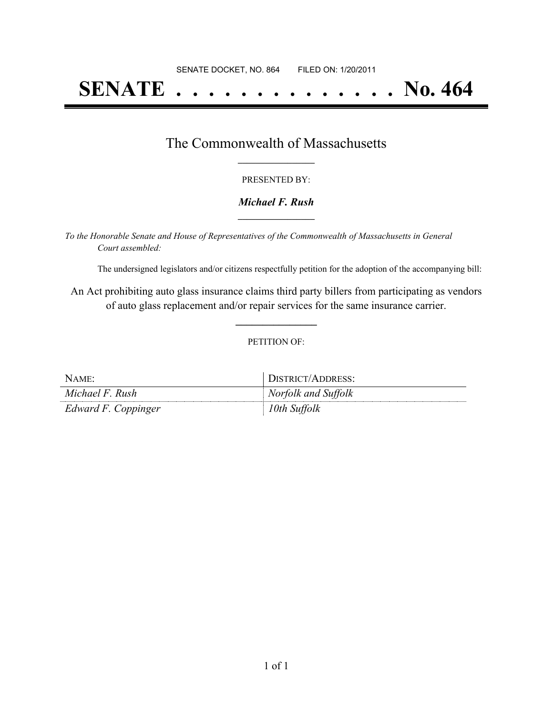# **SENATE . . . . . . . . . . . . . . No. 464**

### The Commonwealth of Massachusetts **\_\_\_\_\_\_\_\_\_\_\_\_\_\_\_\_\_**

#### PRESENTED BY:

#### *Michael F. Rush* **\_\_\_\_\_\_\_\_\_\_\_\_\_\_\_\_\_**

*To the Honorable Senate and House of Representatives of the Commonwealth of Massachusetts in General Court assembled:*

The undersigned legislators and/or citizens respectfully petition for the adoption of the accompanying bill:

An Act prohibiting auto glass insurance claims third party billers from participating as vendors of auto glass replacement and/or repair services for the same insurance carrier.

**\_\_\_\_\_\_\_\_\_\_\_\_\_\_\_**

#### PETITION OF:

| NAME:               | DISTRICT/ADDRESS:   |
|---------------------|---------------------|
| Michael F. Rush     | Norfolk and Suffolk |
| Edward F. Coppinger | 10th Suffolk        |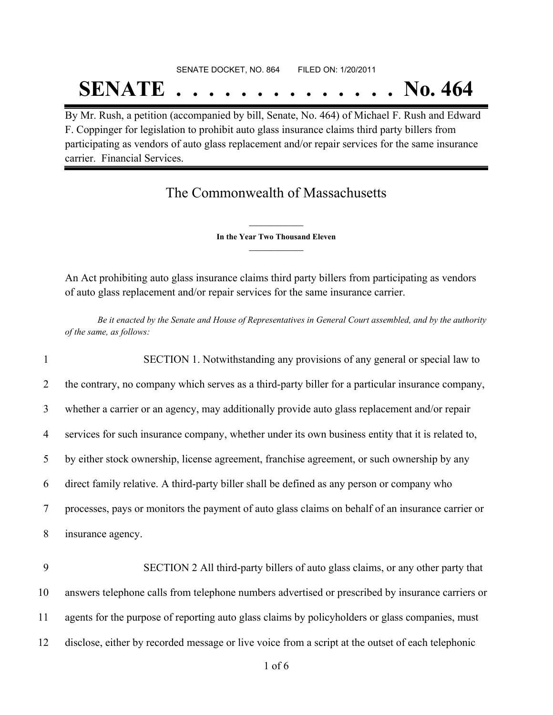# SENATE DOCKET, NO. 864 FILED ON: 1/20/2011 **SENATE . . . . . . . . . . . . . . No. 464**

By Mr. Rush, a petition (accompanied by bill, Senate, No. 464) of Michael F. Rush and Edward F. Coppinger for legislation to prohibit auto glass insurance claims third party billers from participating as vendors of auto glass replacement and/or repair services for the same insurance carrier. Financial Services.

## The Commonwealth of Massachusetts

**\_\_\_\_\_\_\_\_\_\_\_\_\_\_\_ In the Year Two Thousand Eleven \_\_\_\_\_\_\_\_\_\_\_\_\_\_\_**

An Act prohibiting auto glass insurance claims third party billers from participating as vendors of auto glass replacement and/or repair services for the same insurance carrier.

Be it enacted by the Senate and House of Representatives in General Court assembled, and by the authority *of the same, as follows:*

1 SECTION 1. Notwithstanding any provisions of any general or special law to the contrary, no company which serves as a third-party biller for a particular insurance company, whether a carrier or an agency, may additionally provide auto glass replacement and/or repair services for such insurance company, whether under its own business entity that it is related to, by either stock ownership, license agreement, franchise agreement, or such ownership by any direct family relative. A third-party biller shall be defined as any person or company who processes, pays or monitors the payment of auto glass claims on behalf of an insurance carrier or insurance agency. 9 SECTION 2 All third-party billers of auto glass claims, or any other party that

10 answers telephone calls from telephone numbers advertised or prescribed by insurance carriers or 11 agents for the purpose of reporting auto glass claims by policyholders or glass companies, must 12 disclose, either by recorded message or live voice from a script at the outset of each telephonic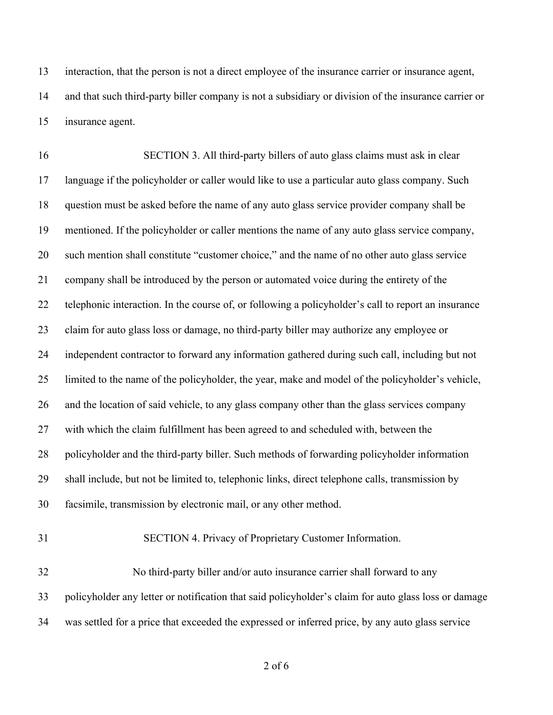interaction, that the person is not a direct employee of the insurance carrier or insurance agent, and that such third-party biller company is not a subsidiary or division of the insurance carrier or insurance agent.

16 SECTION 3. All third-party billers of auto glass claims must ask in clear language if the policyholder or caller would like to use a particular auto glass company. Such question must be asked before the name of any auto glass service provider company shall be mentioned. If the policyholder or caller mentions the name of any auto glass service company, such mention shall constitute "customer choice," and the name of no other auto glass service company shall be introduced by the person or automated voice during the entirety of the telephonic interaction. In the course of, or following a policyholder's call to report an insurance claim for auto glass loss or damage, no third-party biller may authorize any employee or independent contractor to forward any information gathered during such call, including but not limited to the name of the policyholder, the year, make and model of the policyholder's vehicle, and the location of said vehicle, to any glass company other than the glass services company with which the claim fulfillment has been agreed to and scheduled with, between the policyholder and the third-party biller. Such methods of forwarding policyholder information shall include, but not be limited to, telephonic links, direct telephone calls, transmission by facsimile, transmission by electronic mail, or any other method.

31 SECTION 4. Privacy of Proprietary Customer Information.

32 No third-party biller and/or auto insurance carrier shall forward to any policyholder any letter or notification that said policyholder's claim for auto glass loss or damage was settled for a price that exceeded the expressed or inferred price, by any auto glass service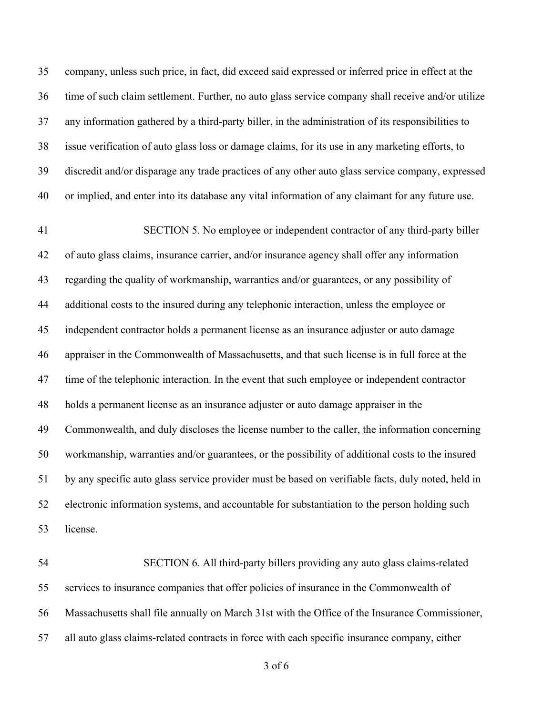company, unless such price, in fact, did exceed said expressed or inferred price in effect at the time of such claim settlement. Further, no auto glass service company shall receive and/or utilize any information gathered by a third-party biller, in the administration of its responsibilities to issue verification of auto glass loss or damage claims, for its use in any marketing efforts, to discredit and/or disparage any trade practices of any other auto glass service company, expressed or implied, and enter into its database any vital information of any claimant for any future use.

41 SECTION 5. No employee or independent contractor of any third-party biller of auto glass claims, insurance carrier, and/or insurance agency shall offer any information regarding the quality of workmanship, warranties and/or guarantees, or any possibility of additional costs to the insured during any telephonic interaction, unless the employee or independent contractor holds a permanent license as an insurance adjuster or auto damage appraiser in the Commonwealth of Massachusetts, and that such license is in full force at the time of the telephonic interaction. In the event that such employee or independent contractor holds a permanent license as an insurance adjuster or auto damage appraiser in the Commonwealth, and duly discloses the license number to the caller, the information concerning workmanship, warranties and/or guarantees, or the possibility of additional costs to the insured by any specific auto glass service provider must be based on verifiable facts, duly noted, held in electronic information systems, and accountable for substantiation to the person holding such license.

54 SECTION 6. All third-party billers providing any auto glass claims-related services to insurance companies that offer policies of insurance in the Commonwealth of Massachusetts shall file annually on March 31st with the Office of the Insurance Commissioner, all auto glass claims-related contracts in force with each specific insurance company, either

of 6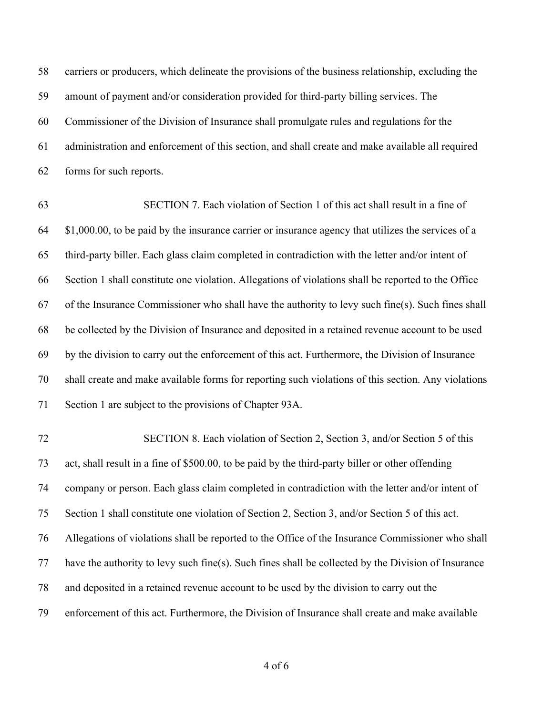carriers or producers, which delineate the provisions of the business relationship, excluding the amount of payment and/or consideration provided for third-party billing services. The Commissioner of the Division of Insurance shall promulgate rules and regulations for the administration and enforcement of this section, and shall create and make available all required forms for such reports.

63 SECTION 7. Each violation of Section 1 of this act shall result in a fine of \$1,000.00, to be paid by the insurance carrier or insurance agency that utilizes the services of a third-party biller. Each glass claim completed in contradiction with the letter and/or intent of Section 1 shall constitute one violation. Allegations of violations shall be reported to the Office of the Insurance Commissioner who shall have the authority to levy such fine(s). Such fines shall be collected by the Division of Insurance and deposited in a retained revenue account to be used by the division to carry out the enforcement of this act. Furthermore, the Division of Insurance shall create and make available forms for reporting such violations of this section. Any violations Section 1 are subject to the provisions of Chapter 93A.

72 SECTION 8. Each violation of Section 2, Section 3, and/or Section 5 of this act, shall result in a fine of \$500.00, to be paid by the third-party biller or other offending company or person. Each glass claim completed in contradiction with the letter and/or intent of Section 1 shall constitute one violation of Section 2, Section 3, and/or Section 5 of this act. Allegations of violations shall be reported to the Office of the Insurance Commissioner who shall have the authority to levy such fine(s). Such fines shall be collected by the Division of Insurance and deposited in a retained revenue account to be used by the division to carry out the enforcement of this act. Furthermore, the Division of Insurance shall create and make available

of 6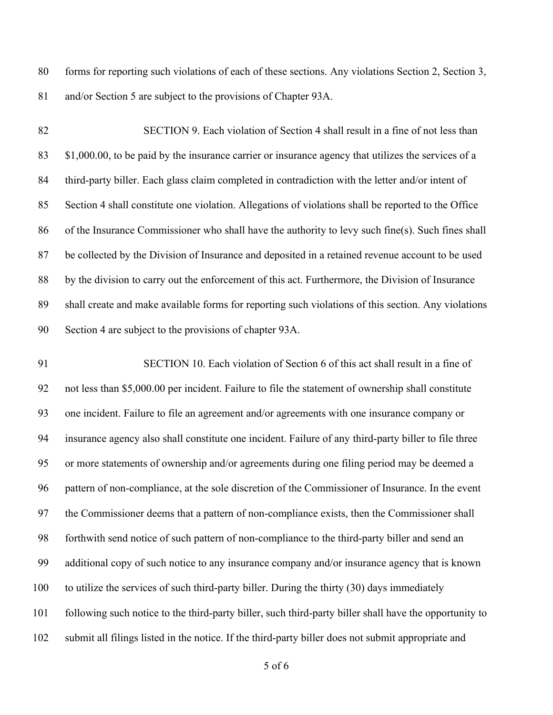forms for reporting such violations of each of these sections. Any violations Section 2, Section 3, and/or Section 5 are subject to the provisions of Chapter 93A.

82 SECTION 9. Each violation of Section 4 shall result in a fine of not less than \$1,000.00, to be paid by the insurance carrier or insurance agency that utilizes the services of a 84 third-party biller. Each glass claim completed in contradiction with the letter and/or intent of Section 4 shall constitute one violation. Allegations of violations shall be reported to the Office of the Insurance Commissioner who shall have the authority to levy such fine(s). Such fines shall be collected by the Division of Insurance and deposited in a retained revenue account to be used by the division to carry out the enforcement of this act. Furthermore, the Division of Insurance shall create and make available forms for reporting such violations of this section. Any violations Section 4 are subject to the provisions of chapter 93A.

91 SECTION 10. Each violation of Section 6 of this act shall result in a fine of not less than \$5,000.00 per incident. Failure to file the statement of ownership shall constitute one incident. Failure to file an agreement and/or agreements with one insurance company or insurance agency also shall constitute one incident. Failure of any third-party biller to file three or more statements of ownership and/or agreements during one filing period may be deemed a pattern of non-compliance, at the sole discretion of the Commissioner of Insurance. In the event the Commissioner deems that a pattern of non-compliance exists, then the Commissioner shall forthwith send notice of such pattern of non-compliance to the third-party biller and send an additional copy of such notice to any insurance company and/or insurance agency that is known to utilize the services of such third-party biller. During the thirty (30) days immediately following such notice to the third-party biller, such third-party biller shall have the opportunity to submit all filings listed in the notice. If the third-party biller does not submit appropriate and

of 6